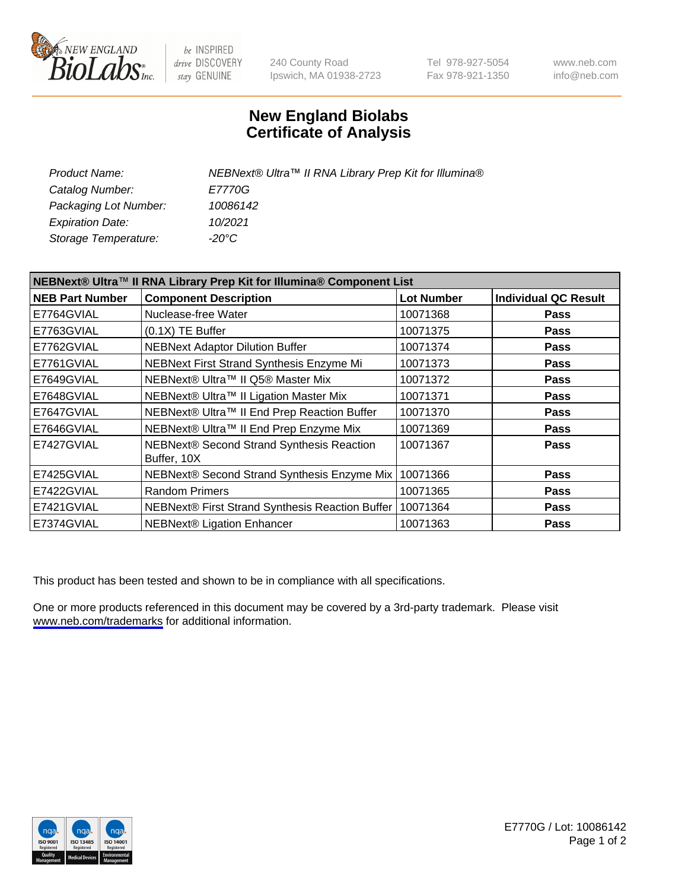

be INSPIRED drive DISCOVERY stay GENUINE

240 County Road Ipswich, MA 01938-2723 Tel 978-927-5054 Fax 978-921-1350

www.neb.com info@neb.com

## **New England Biolabs Certificate of Analysis**

| Product Name:           | NEBNext® Ultra™ II RNA Library Prep Kit for Illumina® |
|-------------------------|-------------------------------------------------------|
| Catalog Number:         | <i>E7770G</i>                                         |
| Packaging Lot Number:   | 10086142                                              |
| <b>Expiration Date:</b> | 10/2021                                               |
| Storage Temperature:    | -20°C                                                 |

| NEBNext® Ultra™ II RNA Library Prep Kit for Illumina® Component List |                                                          |                   |                             |
|----------------------------------------------------------------------|----------------------------------------------------------|-------------------|-----------------------------|
| <b>NEB Part Number</b>                                               | <b>Component Description</b>                             | <b>Lot Number</b> | <b>Individual QC Result</b> |
| E7764GVIAL                                                           | Nuclease-free Water                                      | 10071368          | <b>Pass</b>                 |
| E7763GVIAL                                                           | $(0.1X)$ TE Buffer                                       | 10071375          | <b>Pass</b>                 |
| E7762GVIAL                                                           | <b>NEBNext Adaptor Dilution Buffer</b>                   | 10071374          | <b>Pass</b>                 |
| E7761GVIAL                                                           | NEBNext First Strand Synthesis Enzyme Mi                 | 10071373          | <b>Pass</b>                 |
| E7649GVIAL                                                           | NEBNext® Ultra™ II Q5® Master Mix                        | 10071372          | <b>Pass</b>                 |
| E7648GVIAL                                                           | NEBNext® Ultra™ II Ligation Master Mix                   | 10071371          | <b>Pass</b>                 |
| E7647GVIAL                                                           | NEBNext® Ultra™ II End Prep Reaction Buffer              | 10071370          | <b>Pass</b>                 |
| E7646GVIAL                                                           | NEBNext® Ultra™ II End Prep Enzyme Mix                   | 10071369          | <b>Pass</b>                 |
| E7427GVIAL                                                           | NEBNext® Second Strand Synthesis Reaction<br>Buffer, 10X | 10071367          | Pass                        |
| E7425GVIAL                                                           | NEBNext® Second Strand Synthesis Enzyme Mix              | 10071366          | <b>Pass</b>                 |
| E7422GVIAL                                                           | <b>Random Primers</b>                                    | 10071365          | <b>Pass</b>                 |
| E7421GVIAL                                                           | NEBNext® First Strand Synthesis Reaction Buffer          | 10071364          | <b>Pass</b>                 |
| E7374GVIAL                                                           | <b>NEBNext® Ligation Enhancer</b>                        | 10071363          | <b>Pass</b>                 |

This product has been tested and shown to be in compliance with all specifications.

One or more products referenced in this document may be covered by a 3rd-party trademark. Please visit <www.neb.com/trademarks>for additional information.



E7770G / Lot: 10086142 Page 1 of 2